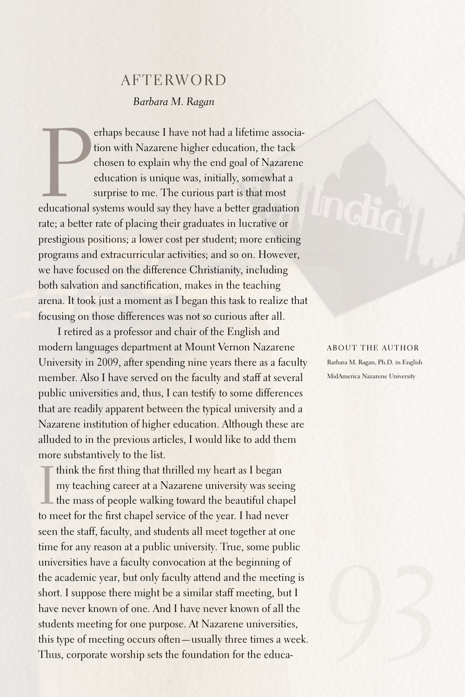## **AFTERWORD** *Barbara M. Ragan*

erhaps because I have not had a lifetime association with Nazarene higher education, the tack chosen to explain why the end goal of Nazarene education is unique was, initially, somewhat a surprise to me. The curious part i erhaps because I have not had a lifetime association with Nazarene higher education, the tack chosen to explain why the end goal of Nazarene education is unique was, initially, somewhat a surprise to me. The curious part is that most rate; a better rate of placing their graduates in lucrative or prestigious positions; a lower cost per student; more enticing programs and extracurricular activities; and so on. However, we have focused on the difference Christianity, including both salvation and sanctification, makes in the teaching arena. It took just a moment as I began this task to realize that focusing on those differences was not so curious after all.

I retired as a professor and chair of the English and modern languages department at Mount Vernon Nazarene University in 2009, after spending nine years there as a faculty member.Also I have served on the faculty and staff at several public universities and, thus, I can testify to some differences that are readily apparent between the typical university and a Nazarene institution of higher education.Although these are alluded to in the previous articles, I would like to add them more substantively to the list.

Think the first thing that thrilled my heart as I began<br>my teaching career at a Nazarene university was see<br>the mass of people walking toward the beautiful chapter<br>to meet for the first obanel soming of the wear. I had now my teaching career at a Nazarene university was seeing the mass of people walking toward the beautiful chapel to meet for the first chapel service of the year. I had never seen the staff, faculty, and students all meet together at one time for any reason at a public university. True, some public universities have a faculty convocation at the beginning of the academic year, but only faculty attend and the meeting is short. I suppose there might be a similar staff meeting, but I have never known of one.And I have never known of all the students meeting for one purpose.At Nazarene universities, this type of meeting occurs often—usually three times a week. Thus, corporate worship sets the foundation for the educaABOUT THE AUTHOR Barbara M. Ragan, Ph.D. in English MidAmerica Nazarene University

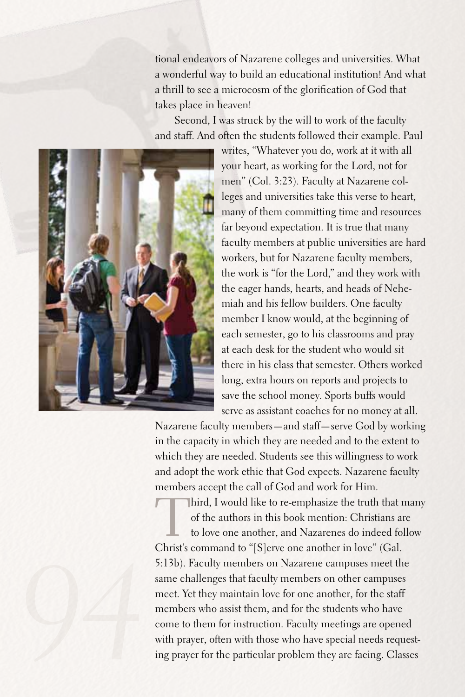tional endeavors of Nazarene colleges and universities. What a wonderful way to build an educational institution! And what a thrill to see a microcosm of the glorification of God that takes place in heaven!

Second, I was struck by the will to work of the faculty and staff.And often the students followed their example. Paul



writes, "Whatever you do, work at it with all your heart, as working for the Lord, not for men" (Col. 3:23). Faculty at Nazarene colleges and universities take this verse to heart, many of them committing time and resources far beyond expectation. It is true that many faculty members at public universities are hard workers, but for Nazarene faculty members, the work is "for the Lord," and they work with the eager hands, hearts, and heads of Nehemiah and his fellow builders. One faculty member I know would, at the beginning of each semester, go to his classrooms and pray at each desk for the student who would sit there in his class that semester. Others worked long, extra hours on reports and projects to save the school money. Sports buffs would serve as assistant coaches for no money at all.

Nazarene faculty members—and staff—serve God by working in the capacity in which they are needed and to the extent to which they are needed. Students see this willingness to work and adopt the work ethic that God expects. Nazarene faculty members accept the call of God and work for Him.

Third, I would like to re-emphasize the truth that many of the authors in this book mention: Christians are to love one another, and Nazarenes do indeed follow Christ's command to "[S]erve one another in love" (Gal. 5:13b).Faculty members on Nazarene campuses meet the same challenges that faculty members on other campuses meet. Yet they maintain love for one another, for the staff members who assist them, and for the students who have come to them for instruction. Faculty meetings are opened with prayer, often with those who have special needs requesting prayer for the particular problem they are facing. Classes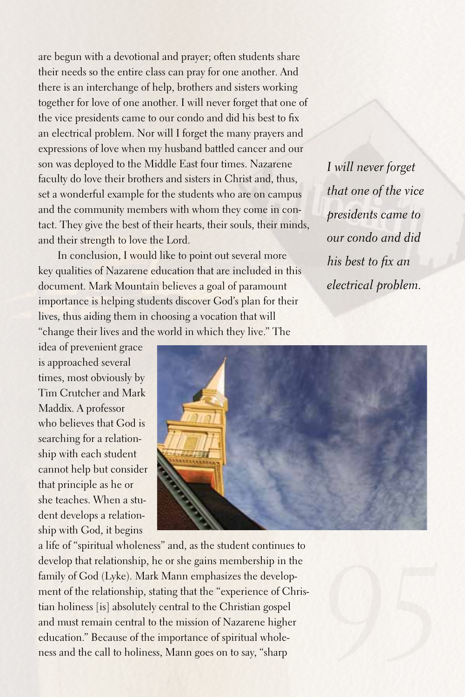are begun with a devotional and prayer; often students share their needs so the entire class can pray for one another.And there is an interchange of help, brothers and sisters working together for love of one another. I will never forget that one of the vice presidents came to our condo and did his best to fix an electrical problem. Nor will I forget the many prayers and expressions of love when my husband battled cancer and our son was deployed to the Middle East four times. Nazarene faculty do love their brothers and sisters in Christ and, thus, set a wonderful example for the students who are on campus and the community members with whom they come in contact. They give the best of their hearts, their souls, their minds, and their strength to love the Lord.

In conclusion, I would like to point out several more key qualities of Nazarene education that are included in this document. Mark Mountain believes a goal of paramount importance is helping students discover God's plan for their lives, thus aiding them in choosing a vocation that will "change their lives and the world in which they live." The

*I will never forget that one of the vice presidents came to our condo and did his best to fix an electrical problem.*

idea of prevenient grace is approached several times, most obviously by Tim Crutcher and Mark Maddix.A professor who believes that God is searching for a relationship with each student cannot help but consider that principle as he or she teaches. When a student develops a relationship with God, it begins



a life of "spiritual wholeness" and, as the student continues to develop that relationship, he or she gains membership in the family of God (Lyke). Mark Mann emphasizes the development of the relationship, stating that the "experience of Christian holiness [is] absolutely central to the Christian gospel and must remain central to the mission of Nazarene higher education." Because of the importance of spiritual wholeness and the call to holiness, Mann goes on to say, "sharp